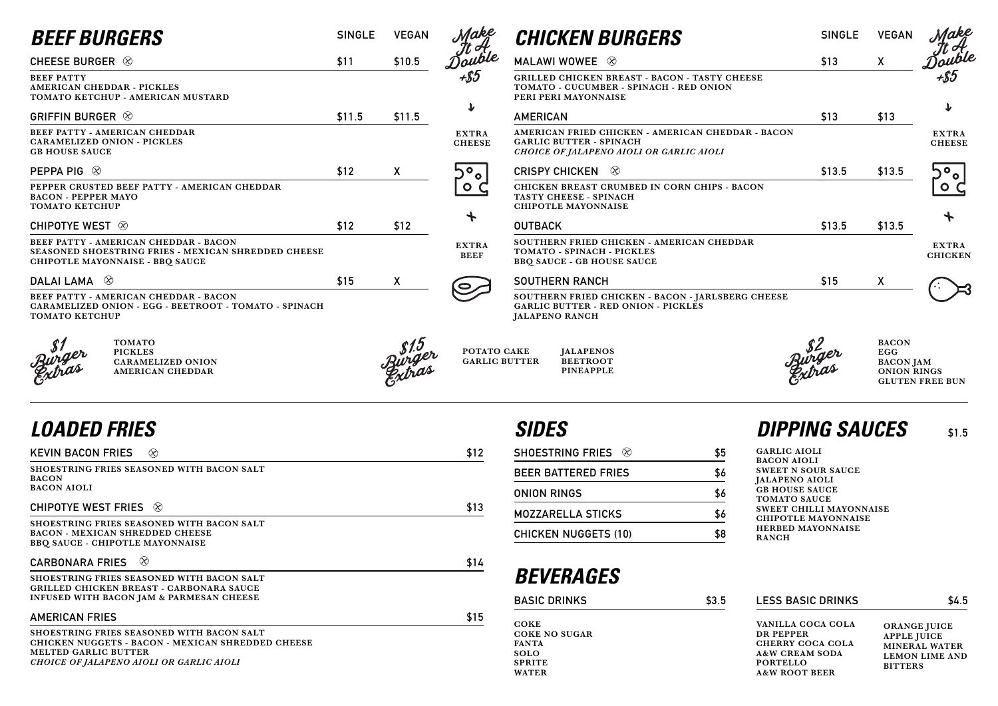| <b>BEEF BURGERS</b>                                                                                                             | <b>SINGLE</b> | <b>VEGAN</b>     | Make                                | <b>CHICKEN BURGERS</b>                                                                                                  |
|---------------------------------------------------------------------------------------------------------------------------------|---------------|------------------|-------------------------------------|-------------------------------------------------------------------------------------------------------------------------|
| CHEESE BURGER $\otimes$                                                                                                         | \$11          | \$10.5           | Touble                              | MALAWI WOWEE 8                                                                                                          |
| <b>BEEF PATTY</b><br>AMERICAN CHEDDAR - PICKLES<br>TOMATO KETCHUP - AMERICAN MUSTARD                                            |               |                  | +\$5                                | <b>GRILLED CHICKEN BREAST - BACON - TASTY CHEES</b><br>TOMATO - CUCUMBER - SPINACH - RED ONION<br>PERI PERI MAYONNAISE  |
| GRIFFIN BURGER $\otimes$                                                                                                        | \$11.5        | \$11.5           | $\bf{r}$                            | <b>AMERICAN</b>                                                                                                         |
| BEEF PATTY - AMERICAN CHEDDAR<br><b>CARAMELIZED ONION - PICKLES</b><br><b>GB HOUSE SAUCE</b>                                    |               |                  | <b>EXTRA</b><br><b>CHEESE</b>       | AMERICAN FRIED CHICKEN - AMERICAN CHEDDAR<br><b>GARLIC BUTTER - SPINACH</b><br>CHOICE OF JALAPENO AIOLI OR GARLIC AIOLI |
| PEPPA PIG $\otimes$                                                                                                             | \$12          | $\boldsymbol{X}$ | $\overline{O}_0$                    | $\circledR$<br><b>CRISPY CHICKEN</b>                                                                                    |
| PEPPER CRUSTED BEEF PATTY - AMERICAN CHEDDAR<br><b>BACON - PEPPER MAYO</b><br><b>TOMATO KETCHUP</b>                             |               |                  | $\circ$ $\circ$                     | CHICKEN BREAST CRUMBED IN CORN CHIPS - BACC<br>TASTY CHEESE - SPINACH<br><b>CHIPOTLE MAYONNAISE</b>                     |
| CHIPOTYE WEST $\otimes$                                                                                                         | \$12          | \$12             |                                     | <b>OUTBACK</b>                                                                                                          |
| BEEF PATTY - AMERICAN CHEDDAR - BACON<br>SEASONED SHOESTRING FRIES - MEXICAN SHREDDED CHEESE<br>CHIPOTLE MAYONNAISE - BBQ SAUCE |               |                  | <b>EXTRA</b><br><b>BEEF</b>         | SOUTHERN FRIED CHICKEN - AMERICAN CHEDDAR<br>TOMATO - SPINACH - PICKLES<br><b>BBQ SAUCE - GB HOUSE SAUCE</b>            |
| DALAI LAMA $\otimes$                                                                                                            | \$15          | $\mathsf{X}$     |                                     | <b>SOUTHERN RANCH</b>                                                                                                   |
| BEEF PATTY - AMERICAN CHEDDAR - BACON<br>CARAMELIZED ONION - EGG - BEETROOT - TOMATO - SPINACH<br><b>TOMATO KETCHUP</b>         |               |                  |                                     | SOUTHERN FRIED CHICKEN - BACON - JARLSBERG O<br><b>GARLIC BUTTER - RED ONION - PICKLES</b><br><b>JALAPENO RANCH</b>     |
| <b>TOMATO</b><br><b>PICKLES</b><br><b>CARAMELIZED ONION</b><br><b>AMERICAN CHEDDAR</b>                                          |               |                  | POTATO CAKE<br><b>GARLIC BUTTER</b> | <b>JALAPENOS</b><br><b>BEETROOT</b><br><b>PINEAPPLE</b>                                                                 |

## *LOADED FRIES*

|                      | <b>SINGLE</b> | <b>VEGAN</b> |                                |
|----------------------|---------------|--------------|--------------------------------|
|                      | \$13          | χ            | Make<br>It A<br>Double<br>+\$5 |
| <b>CHEESE</b><br>N   |               |              |                                |
|                      | \$13          | \$13         | T                              |
| <b>EDDAR - BACON</b> |               |              | <b>EXTRA</b><br><b>CHEESE</b>  |
|                      | \$13.5        | \$13.5       |                                |
| - BACON              |               |              |                                |
|                      | \$13.5        | \$13.5       | ╋                              |
| <b>EDDAR</b>         |               |              | <b>EXTRA</b><br><b>CHICKEN</b> |
|                      | \$15          | χ            |                                |
| <b>BERG CHEESE</b>   |               |              |                                |

| <b>KEVIN BACON FRIES</b><br>$\otimes$                                                                                                                                            | \$12 |
|----------------------------------------------------------------------------------------------------------------------------------------------------------------------------------|------|
| SHOESTRING FRIES SEASONED WITH BACON SALT<br><b>BACON</b><br><b>BACON AIOLI</b>                                                                                                  |      |
| CHIPOTYE WEST FRIES $\otimes$                                                                                                                                                    | \$13 |
| <b>SHOESTRING FRIES SEASONED WITH BACON SALT</b><br><b>BACON - MEXICAN SHREDDED CHEESE</b><br>BBQ SAUCE - CHIPOTLE MAYONNAISE                                                    |      |
| ⊗<br><b>CARBONARA FRIES</b>                                                                                                                                                      | \$14 |
| SHOESTRING FRIES SEASONED WITH BACON SALT<br><b>GRILLED CHICKEN BREAST - CARBONARA SAUCE</b><br><b>INFUSED WITH BACON JAM &amp; PARMESAN CHEESE</b>                              |      |
| <b>AMERICAN FRIES</b>                                                                                                                                                            | \$15 |
| <b>SHOESTRING FRIES SEASONED WITH BACON SALT</b><br>CHICKEN NUGGETS - BACON - MEXICAN SHREDDED CHEESE<br><b>MELTED GARLIC BUTTER</b><br>CHOICE OF JALAPENO AIOLI OR GARLIC AIOLI |      |

**GARLIC AIOLI BACON AIOLI SWEET N SOUR SAUCE JALAPENO AIOLI GB HOUSE SAUCE TOMATO SAUCE SWEET CHILLI MAYONNAISE CHIPOTLE MAYONNAISE HERBED MAYONNAISE RANCH**

| <b>SHOESTRING FRIES</b><br>$(\chi)$ | \$5 |
|-------------------------------------|-----|
| <b>BEER BATTERED FRIES</b>          | \$6 |
| <b>ONION RINGS</b>                  | \$6 |
| <b>MOZZARELLA STICKS</b>            |     |
| <b>CHICKEN NUGGETS (10)</b>         |     |

## *SIDES DIPPING SAUCES* **\$1.5**

# *BEVERAGES*

**FANTA SOLO SPRITE WATER**

**VANILLA COCA COLA DR PEPPER CHERRY COCA COLA A&W CREAM SODA PORTELLO A&W ROOT BEER**

| <b>BASIC DRINKS</b>  | \$3.5 | <b>LESS BASIC DRINKS</b> | \$4.5               |  |
|----------------------|-------|--------------------------|---------------------|--|
| <b>COKE</b>          |       | VANILLA COCA COLA        | <b>ORANGE JUICE</b> |  |
| <b>COKE NO SUGAR</b> |       | DR PEPPER                | <b>APPLE IUICE</b>  |  |

**ORANGE JUICE APPLE JUICE MINERAL WATER LEMON LIME AND BITTERS**

**AMERICAN CHEDDAR**

**BACON EGG BACON JAM ONION RINGS GLUTEN FREE BUN**